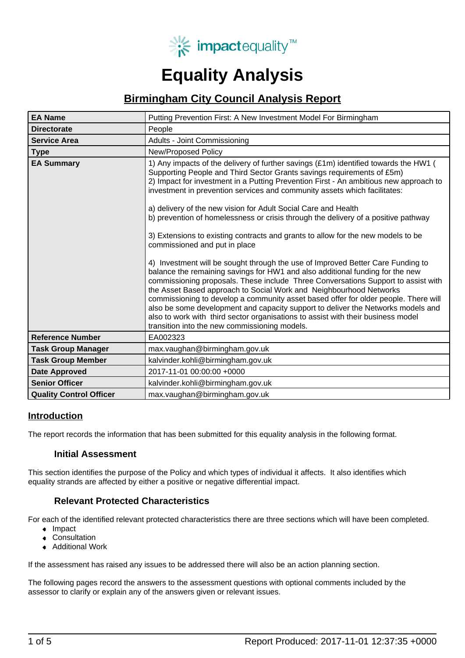

# **Equality Analysis**

# **Birmingham City Council Analysis Report**

| <b>EA Name</b>                 | Putting Prevention First: A New Investment Model For Birmingham                                                                                                                                                                                                                                                                                                                                                                                                                                                                                                                                                                                                                                                                                                                                                                                                                                                                                                                                                                                                                                                                                                                                                                                                  |  |
|--------------------------------|------------------------------------------------------------------------------------------------------------------------------------------------------------------------------------------------------------------------------------------------------------------------------------------------------------------------------------------------------------------------------------------------------------------------------------------------------------------------------------------------------------------------------------------------------------------------------------------------------------------------------------------------------------------------------------------------------------------------------------------------------------------------------------------------------------------------------------------------------------------------------------------------------------------------------------------------------------------------------------------------------------------------------------------------------------------------------------------------------------------------------------------------------------------------------------------------------------------------------------------------------------------|--|
| <b>Directorate</b>             | People                                                                                                                                                                                                                                                                                                                                                                                                                                                                                                                                                                                                                                                                                                                                                                                                                                                                                                                                                                                                                                                                                                                                                                                                                                                           |  |
| <b>Service Area</b>            | Adults - Joint Commissioning                                                                                                                                                                                                                                                                                                                                                                                                                                                                                                                                                                                                                                                                                                                                                                                                                                                                                                                                                                                                                                                                                                                                                                                                                                     |  |
| <b>Type</b>                    | <b>New/Proposed Policy</b>                                                                                                                                                                                                                                                                                                                                                                                                                                                                                                                                                                                                                                                                                                                                                                                                                                                                                                                                                                                                                                                                                                                                                                                                                                       |  |
| <b>EA Summary</b>              | 1) Any impacts of the delivery of further savings (£1m) identified towards the HW1 (<br>Supporting People and Third Sector Grants savings requirements of £5m)<br>2) Impact for investment in a Putting Prevention First - An ambitious new approach to<br>investment in prevention services and community assets which facilitates:<br>a) delivery of the new vision for Adult Social Care and Health<br>b) prevention of homelessness or crisis through the delivery of a positive pathway<br>3) Extensions to existing contracts and grants to allow for the new models to be<br>commissioned and put in place<br>4) Investment will be sought through the use of Improved Better Care Funding to<br>balance the remaining savings for HW1 and also additional funding for the new<br>commissioning proposals. These include Three Conversations Support to assist with<br>the Asset Based approach to Social Work and Neighbourhood Networks<br>commissioning to develop a community asset based offer for older people. There will<br>also be some development and capacity support to deliver the Networks models and<br>also to work with third sector organisations to assist with their business model<br>transition into the new commissioning models. |  |
| <b>Reference Number</b>        | EA002323                                                                                                                                                                                                                                                                                                                                                                                                                                                                                                                                                                                                                                                                                                                                                                                                                                                                                                                                                                                                                                                                                                                                                                                                                                                         |  |
| <b>Task Group Manager</b>      | max.vaughan@birmingham.gov.uk                                                                                                                                                                                                                                                                                                                                                                                                                                                                                                                                                                                                                                                                                                                                                                                                                                                                                                                                                                                                                                                                                                                                                                                                                                    |  |
| <b>Task Group Member</b>       | kalvinder.kohli@birmingham.gov.uk                                                                                                                                                                                                                                                                                                                                                                                                                                                                                                                                                                                                                                                                                                                                                                                                                                                                                                                                                                                                                                                                                                                                                                                                                                |  |
| <b>Date Approved</b>           | 2017-11-01 00:00:00 +0000                                                                                                                                                                                                                                                                                                                                                                                                                                                                                                                                                                                                                                                                                                                                                                                                                                                                                                                                                                                                                                                                                                                                                                                                                                        |  |
| <b>Senior Officer</b>          | kalvinder.kohli@birmingham.gov.uk                                                                                                                                                                                                                                                                                                                                                                                                                                                                                                                                                                                                                                                                                                                                                                                                                                                                                                                                                                                                                                                                                                                                                                                                                                |  |
| <b>Quality Control Officer</b> | max.vaughan@birmingham.gov.uk                                                                                                                                                                                                                                                                                                                                                                                                                                                                                                                                                                                                                                                                                                                                                                                                                                                                                                                                                                                                                                                                                                                                                                                                                                    |  |

## **Introduction**

The report records the information that has been submitted for this equality analysis in the following format.

## **Initial Assessment**

This section identifies the purpose of the Policy and which types of individual it affects. It also identifies which equality strands are affected by either a positive or negative differential impact.

## **Relevant Protected Characteristics**

For each of the identified relevant protected characteristics there are three sections which will have been completed.

- Impact
- Consultation
- Additional Work

If the assessment has raised any issues to be addressed there will also be an action planning section.

The following pages record the answers to the assessment questions with optional comments included by the assessor to clarify or explain any of the answers given or relevant issues.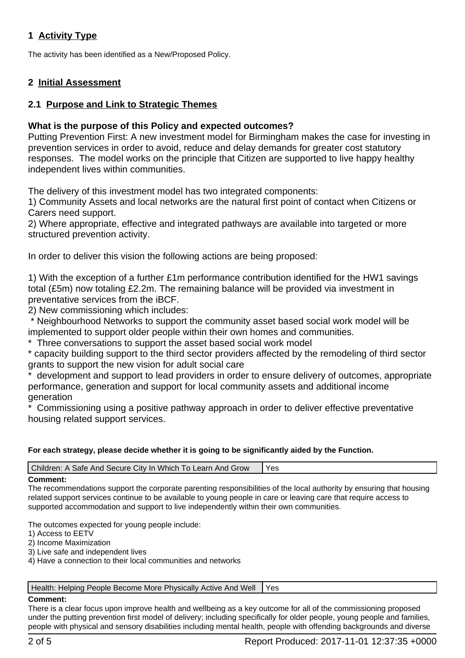# **1 Activity Type**

The activity has been identified as a New/Proposed Policy.

# **2 Initial Assessment**

# **2.1 Purpose and Link to Strategic Themes**

# **What is the purpose of this Policy and expected outcomes?**

Putting Prevention First: A new investment model for Birmingham makes the case for investing in prevention services in order to avoid, reduce and delay demands for greater cost statutory responses. The model works on the principle that Citizen are supported to live happy healthy independent lives within communities.

The delivery of this investment model has two integrated components:

1) Community Assets and local networks are the natural first point of contact when Citizens or Carers need support.

2) Where appropriate, effective and integrated pathways are available into targeted or more structured prevention activity.

In order to deliver this vision the following actions are being proposed:

1) With the exception of a further £1m performance contribution identified for the HW1 savings total (£5m) now totaling £2.2m. The remaining balance will be provided via investment in preventative services from the iBCF.

2) New commissioning which includes:

 \* Neighbourhood Networks to support the community asset based social work model will be implemented to support older people within their own homes and communities.

Three conversations to support the asset based social work model

\* capacity building support to the third sector providers affected by the remodeling of third sector grants to support the new vision for adult social care

development and support to lead providers in order to ensure delivery of outcomes, appropriate performance, generation and support for local community assets and additional income generation

Commissioning using a positive pathway approach in order to deliver effective preventative housing related support services.

## **For each strategy, please decide whether it is going to be significantly aided by the Function.**

| Children: A Safe And Secure City In Which To Learn And Grow |  |
|-------------------------------------------------------------|--|
|                                                             |  |

#### **Comment:**

The recommendations support the corporate parenting responsibilities of the local authority by ensuring that housing related support services continue to be available to young people in care or leaving care that require access to supported accommodation and support to live independently within their own communities.

The outcomes expected for young people include:

1) Access to EETV

2) Income Maximization

3) Live safe and independent lives

4) Have a connection to their local communities and networks

#### | Health: Helping People Become More Physically Active And Well | Yes

#### **Comment:**

There is a clear focus upon improve health and wellbeing as a key outcome for all of the commissioning proposed under the putting prevention first model of delivery; including specifically for older people, young people and families, people with physical and sensory disabilities including mental health, people with offending backgrounds and diverse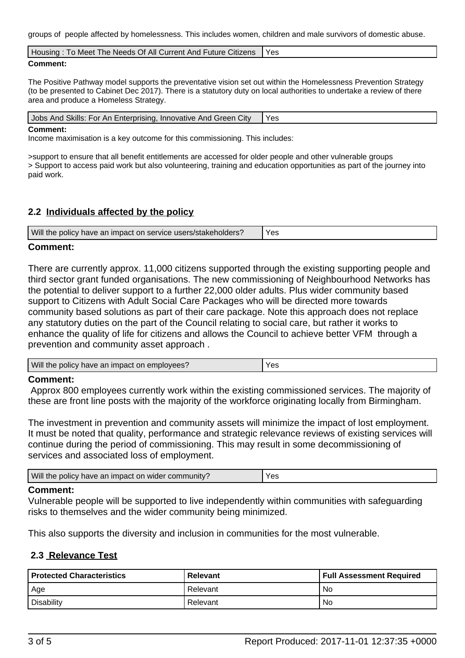groups of people affected by homelessness. This includes women, children and male survivors of domestic abuse.

| Housing: To Meet The Needs Of All Current And Future Citizens | Yes |
|---------------------------------------------------------------|-----|
|                                                               |     |

#### **Comment:**

The Positive Pathway model supports the preventative vision set out within the Homelessness Prevention Strategy (to be presented to Cabinet Dec 2017). There is a statutory duty on local authorities to undertake a review of there area and produce a Homeless Strategy.

| Jobs And Skills: For An Enterprising, Innovative And Green City | Yes |
|-----------------------------------------------------------------|-----|
| $\sim$ $\sim$ $\sim$                                            |     |

#### **Comment:**

Income maximisation is a key outcome for this commissioning. This includes:

>support to ensure that all benefit entitlements are accessed for older people and other vulnerable groups > Support to access paid work but also volunteering, training and education opportunities as part of the journey into paid work.

# **2.2 Individuals affected by the policy**

| Will the policy have an impact on service users/stakeholders? | V oc<br>ᇢ |
|---------------------------------------------------------------|-----------|
|---------------------------------------------------------------|-----------|

## **Comment:**

There are currently approx. 11,000 citizens supported through the existing supporting people and third sector grant funded organisations. The new commissioning of Neighbourhood Networks has the potential to deliver support to a further 22,000 older adults. Plus wider community based support to Citizens with Adult Social Care Packages who will be directed more towards community based solutions as part of their care package. Note this approach does not replace any statutory duties on the part of the Council relating to social care, but rather it works to enhance the quality of life for citizens and allows the Council to achieve better VFM through a prevention and community asset approach .

| Will<br>emplovees?<br>: have an impact on i<br>the<br><b>DOIICV</b> | ັ⊿⊾<br>- 60 |
|---------------------------------------------------------------------|-------------|
|---------------------------------------------------------------------|-------------|

#### **Comment:**

 Approx 800 employees currently work within the existing commissioned services. The majority of these are front line posts with the majority of the workforce originating locally from Birmingham.

The investment in prevention and community assets will minimize the impact of lost employment. It must be noted that quality, performance and strategic relevance reviews of existing services will continue during the period of commissioning. This may result in some decommissioning of services and associated loss of employment.

| Will the policy have an impact on wider community? | $V$ $\alpha$<br>53 |
|----------------------------------------------------|--------------------|
|                                                    |                    |

## **Comment:**

Vulnerable people will be supported to live independently within communities with safeguarding risks to themselves and the wider community being minimized.

This also supports the diversity and inclusion in communities for the most vulnerable.

## **2.3 Relevance Test**

| <b>Protected Characteristics</b> | <b>Relevant</b> | Full Assessment Required |
|----------------------------------|-----------------|--------------------------|
| , Age                            | Relevant        | No                       |
| Disability                       | Relevant        | No                       |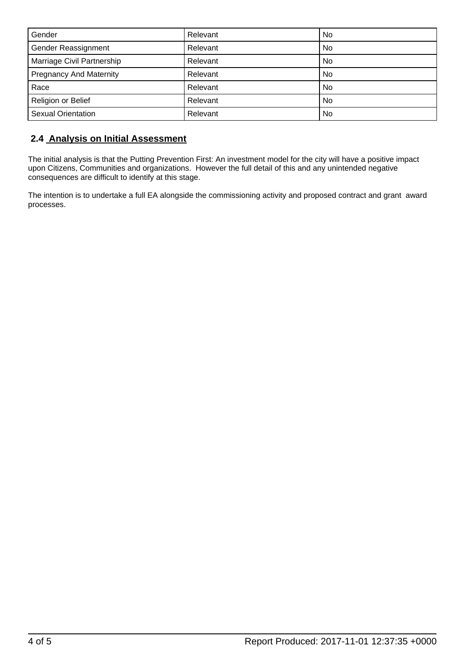| Gender                         | Relevant | No        |
|--------------------------------|----------|-----------|
| Gender Reassignment            | Relevant | No        |
| Marriage Civil Partnership     | Relevant | No        |
| <b>Pregnancy And Maternity</b> | Relevant | <b>No</b> |
| Race                           | Relevant | No        |
| Religion or Belief             | Relevant | No        |
| <b>Sexual Orientation</b>      | Relevant | No        |

# **2.4 Analysis on Initial Assessment**

The initial analysis is that the Putting Prevention First: An investment model for the city will have a positive impact upon Citizens, Communities and organizations. However the full detail of this and any unintended negative consequences are difficult to identify at this stage.

The intention is to undertake a full EA alongside the commissioning activity and proposed contract and grant award processes.